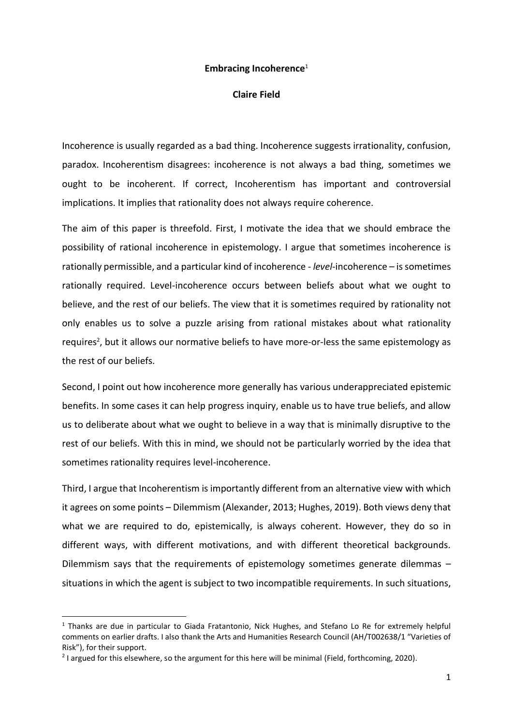#### **Embracing Incoherence**<sup>1</sup>

#### **Claire Field**

Incoherence is usually regarded as a bad thing. Incoherence suggests irrationality, confusion, paradox. Incoherentism disagrees: incoherence is not always a bad thing, sometimes we ought to be incoherent. If correct, Incoherentism has important and controversial implications. It implies that rationality does not always require coherence.

The aim of this paper is threefold. First, I motivate the idea that we should embrace the possibility of rational incoherence in epistemology. I argue that sometimes incoherence is rationally permissible, and a particular kind of incoherence - *level*-incoherence – is sometimes rationally required. Level-incoherence occurs between beliefs about what we ought to believe, and the rest of our beliefs. The view that it is sometimes required by rationality not only enables us to solve a puzzle arising from rational mistakes about what rationality requires<sup>2</sup>, but it allows our normative beliefs to have more-or-less the same epistemology as the rest of our beliefs.

Second, I point out how incoherence more generally has various underappreciated epistemic benefits. In some cases it can help progress inquiry, enable us to have true beliefs, and allow us to deliberate about what we ought to believe in a way that is minimally disruptive to the rest of our beliefs. With this in mind, we should not be particularly worried by the idea that sometimes rationality requires level-incoherence.

Third, I argue that Incoherentism is importantly different from an alternative view with which it agrees on some points – Dilemmism (Alexander, 2013; Hughes, 2019). Both views deny that what we are required to do, epistemically, is always coherent. However, they do so in different ways, with different motivations, and with different theoretical backgrounds. Dilemmism says that the requirements of epistemology sometimes generate dilemmas – situations in which the agent is subject to two incompatible requirements. In such situations,

 $1$  Thanks are due in particular to Giada Fratantonio, Nick Hughes, and Stefano Lo Re for extremely helpful comments on earlier drafts. I also thank the Arts and Humanities Research Council (AH/T002638/1 "Varieties of Risk"), for their support.

<sup>&</sup>lt;sup>2</sup> I argued for this elsewhere, so the argument for this here will be minimal (Field, forthcoming, 2020).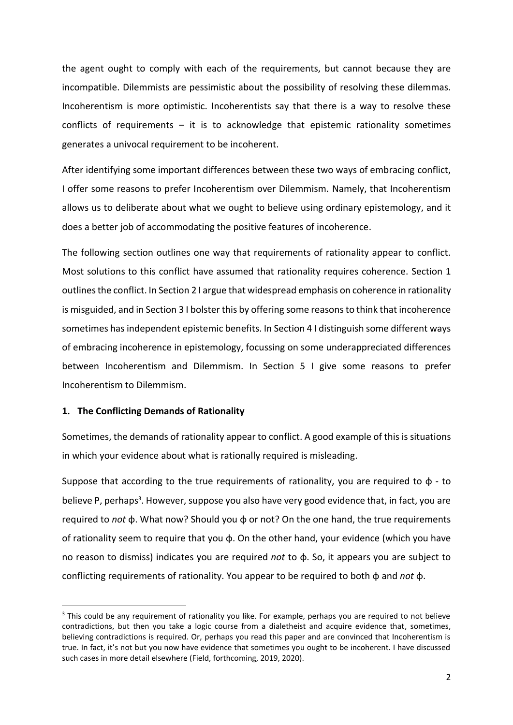the agent ought to comply with each of the requirements, but cannot because they are incompatible. Dilemmists are pessimistic about the possibility of resolving these dilemmas. Incoherentism is more optimistic. Incoherentists say that there is a way to resolve these conflicts of requirements  $-$  it is to acknowledge that epistemic rationality sometimes generates a univocal requirement to be incoherent.

After identifying some important differences between these two ways of embracing conflict, I offer some reasons to prefer Incoherentism over Dilemmism. Namely, that Incoherentism allows us to deliberate about what we ought to believe using ordinary epistemology, and it does a better job of accommodating the positive features of incoherence.

The following section outlines one way that requirements of rationality appear to conflict. Most solutions to this conflict have assumed that rationality requires coherence. Section 1 outlines the conflict. In Section 2 I argue that widespread emphasis on coherence in rationality is misguided, and in Section 3 I bolster this by offering some reasons to think that incoherence sometimes has independent epistemic benefits. In Section 4 I distinguish some different ways of embracing incoherence in epistemology, focussing on some underappreciated differences between Incoherentism and Dilemmism. In Section 5 I give some reasons to prefer Incoherentism to Dilemmism.

### **1. The Conflicting Demands of Rationality**

Sometimes, the demands of rationality appear to conflict. A good example of this is situations in which your evidence about what is rationally required is misleading.

Suppose that according to the true requirements of rationality, you are required to  $\phi$  - to believe P, perhaps<sup>3</sup>. However, suppose you also have very good evidence that, in fact, you are required to *not* ɸ. What now? Should you ɸ or not? On the one hand, the true requirements of rationality seem to require that you ɸ. On the other hand, your evidence (which you have no reason to dismiss) indicates you are required *not* to ɸ. So, it appears you are subject to conflicting requirements of rationality. You appear to be required to both ɸ and *not* ɸ.

<sup>&</sup>lt;sup>3</sup> This could be any requirement of rationality you like. For example, perhaps you are required to not believe contradictions, but then you take a logic course from a dialetheist and acquire evidence that, sometimes, believing contradictions is required. Or, perhaps you read this paper and are convinced that Incoherentism is true. In fact, it's not but you now have evidence that sometimes you ought to be incoherent. I have discussed such cases in more detail elsewhere (Field, forthcoming, 2019, 2020).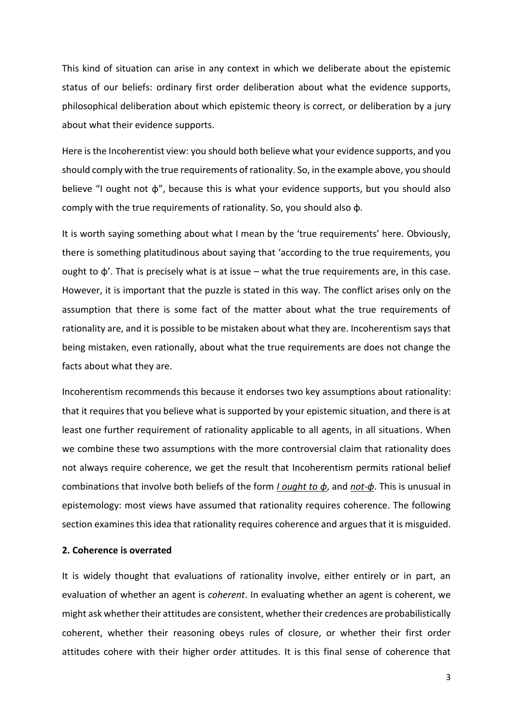This kind of situation can arise in any context in which we deliberate about the epistemic status of our beliefs: ordinary first order deliberation about what the evidence supports, philosophical deliberation about which epistemic theory is correct, or deliberation by a jury about what their evidence supports.

Here is the Incoherentist view: you should both believe what your evidence supports, and you should comply with the true requirements of rationality. So, in the example above, you should believe "I ought not ɸ", because this is what your evidence supports, but you should also comply with the true requirements of rationality. So, you should also ɸ.

It is worth saying something about what I mean by the 'true requirements' here. Obviously, there is something platitudinous about saying that 'according to the true requirements, you ought to  $\phi'$ . That is precisely what is at issue – what the true requirements are, in this case. However, it is important that the puzzle is stated in this way. The conflict arises only on the assumption that there is some fact of the matter about what the true requirements of rationality are, and it is possible to be mistaken about what they are. Incoherentism says that being mistaken, even rationally, about what the true requirements are does not change the facts about what they are.

Incoherentism recommends this because it endorses two key assumptions about rationality: that it requires that you believe what is supported by your epistemic situation, and there is at least one further requirement of rationality applicable to all agents, in all situations. When we combine these two assumptions with the more controversial claim that rationality does not always require coherence, we get the result that Incoherentism permits rational belief combinations that involve both beliefs of the form *I ought to ɸ*, and *not-ɸ*. This is unusual in epistemology: most views have assumed that rationality requires coherence. The following section examines this idea that rationality requires coherence and argues that it is misguided.

## **2. Coherence is overrated**

It is widely thought that evaluations of rationality involve, either entirely or in part, an evaluation of whether an agent is *coherent*. In evaluating whether an agent is coherent, we might ask whether their attitudes are consistent, whether their credences are probabilistically coherent, whether their reasoning obeys rules of closure, or whether their first order attitudes cohere with their higher order attitudes. It is this final sense of coherence that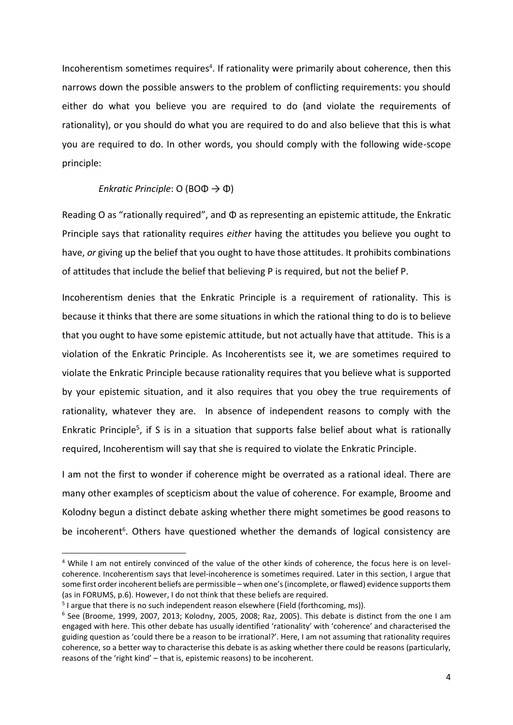Incoherentism sometimes requires<sup>4</sup>. If rationality were primarily about coherence, then this narrows down the possible answers to the problem of conflicting requirements: you should either do what you believe you are required to do (and violate the requirements of rationality), or you should do what you are required to do and also believe that this is what you are required to do. In other words, you should comply with the following wide-scope principle:

### *Enkratic Principle*: O (BOΦ → Φ)

Reading O as "rationally required", and Φ as representing an epistemic attitude, the Enkratic Principle says that rationality requires *either* having the attitudes you believe you ought to have, *or* giving up the belief that you ought to have those attitudes. It prohibits combinations of attitudes that include the belief that believing P is required, but not the belief P.

Incoherentism denies that the Enkratic Principle is a requirement of rationality. This is because it thinks that there are some situations in which the rational thing to do is to believe that you ought to have some epistemic attitude, but not actually have that attitude. This is a violation of the Enkratic Principle. As Incoherentists see it, we are sometimes required to violate the Enkratic Principle because rationality requires that you believe what is supported by your epistemic situation, and it also requires that you obey the true requirements of rationality, whatever they are. In absence of independent reasons to comply with the Enkratic Principle<sup>5</sup>, if S is in a situation that supports false belief about what is rationally required, Incoherentism will say that she is required to violate the Enkratic Principle.

I am not the first to wonder if coherence might be overrated as a rational ideal. There are many other examples of scepticism about the value of coherence. For example, Broome and Kolodny begun a distinct debate asking whether there might sometimes be good reasons to be incoherent<sup>6</sup>. Others have questioned whether the demands of logical consistency are

<sup>4</sup> While I am not entirely convinced of the value of the other kinds of coherence, the focus here is on levelcoherence. Incoherentism says that level-incoherence is sometimes required. Later in this section, I argue that some first order incoherent beliefs are permissible – when one's (incomplete, or flawed) evidence supports them (as in FORUMS, p.6). However, I do not think that these beliefs are required.

<sup>&</sup>lt;sup>5</sup> I argue that there is no such independent reason elsewhere (Field (forthcoming, ms)).

<sup>&</sup>lt;sup>6</sup> See (Broome, 1999, 2007, 2013; Kolodny, 2005, 2008; Raz, 2005). This debate is distinct from the one I am engaged with here. This other debate has usually identified 'rationality' with 'coherence' and characterised the guiding question as 'could there be a reason to be irrational?'. Here, I am not assuming that rationality requires coherence, so a better way to characterise this debate is as asking whether there could be reasons (particularly, reasons of the 'right kind' – that is, epistemic reasons) to be incoherent.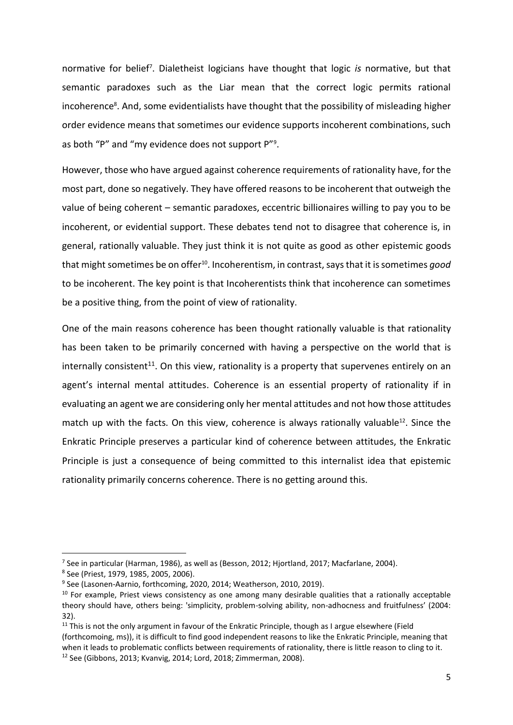normative for belief<sup>7</sup> . Dialetheist logicians have thought that logic *is* normative, but that semantic paradoxes such as the Liar mean that the correct logic permits rational incoherence<sup>8</sup>. And, some evidentialists have thought that the possibility of misleading higher order evidence means that sometimes our evidence supports incoherent combinations, such as both "P" and "my evidence does not support P"<sup>9</sup> .

However, those who have argued against coherence requirements of rationality have, for the most part, done so negatively. They have offered reasons to be incoherent that outweigh the value of being coherent – semantic paradoxes, eccentric billionaires willing to pay you to be incoherent, or evidential support. These debates tend not to disagree that coherence is, in general, rationally valuable. They just think it is not quite as good as other epistemic goods that might sometimes be on offer<sup>10</sup>. Incoherentism, in contrast, says that it is sometimes good to be incoherent. The key point is that Incoherentists think that incoherence can sometimes be a positive thing, from the point of view of rationality.

One of the main reasons coherence has been thought rationally valuable is that rationality has been taken to be primarily concerned with having a perspective on the world that is internally consistent<sup>11</sup>. On this view, rationality is a property that supervenes entirely on an agent's internal mental attitudes. Coherence is an essential property of rationality if in evaluating an agent we are considering only her mental attitudes and not how those attitudes match up with the facts. On this view, coherence is always rationally valuable $^{12}$ . Since the Enkratic Principle preserves a particular kind of coherence between attitudes, the Enkratic Principle is just a consequence of being committed to this internalist idea that epistemic rationality primarily concerns coherence. There is no getting around this.

<sup>7</sup> See in particular (Harman, 1986), as well as (Besson, 2012; Hjortland, 2017; Macfarlane, 2004).

<sup>8</sup> See (Priest, 1979, 1985, 2005, 2006).

<sup>9</sup> See (Lasonen-Aarnio, forthcoming, 2020, 2014; Weatherson, 2010, 2019).

 $10$  For example, Priest views consistency as one among many desirable qualities that a rationally acceptable theory should have, others being: 'simplicity, problem-solving ability, non-adhocness and fruitfulness' (2004: 32).

<sup>&</sup>lt;sup>11</sup> This is not the only argument in favour of the Enkratic Principle, though as I argue elsewhere (Field (forthcomoing, ms)), it is difficult to find good independent reasons to like the Enkratic Principle, meaning that when it leads to problematic conflicts between requirements of rationality, there is little reason to cling to it. <sup>12</sup> See (Gibbons, 2013; Kvanvig, 2014; Lord, 2018; Zimmerman, 2008).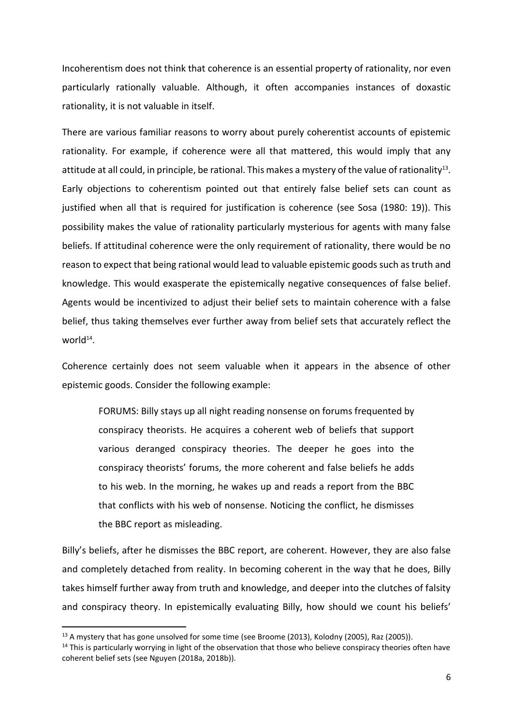Incoherentism does not think that coherence is an essential property of rationality, nor even particularly rationally valuable. Although, it often accompanies instances of doxastic rationality, it is not valuable in itself.

There are various familiar reasons to worry about purely coherentist accounts of epistemic rationality. For example, if coherence were all that mattered, this would imply that any attitude at all could, in principle, be rational. This makes a mystery of the value of rationality<sup>13</sup>. Early objections to coherentism pointed out that entirely false belief sets can count as justified when all that is required for justification is coherence (see Sosa (1980: 19)). This possibility makes the value of rationality particularly mysterious for agents with many false beliefs. If attitudinal coherence were the only requirement of rationality, there would be no reason to expect that being rational would lead to valuable epistemic goods such as truth and knowledge. This would exasperate the epistemically negative consequences of false belief. Agents would be incentivized to adjust their belief sets to maintain coherence with a false belief, thus taking themselves ever further away from belief sets that accurately reflect the world<sup>14</sup>.

Coherence certainly does not seem valuable when it appears in the absence of other epistemic goods. Consider the following example:

FORUMS: Billy stays up all night reading nonsense on forums frequented by conspiracy theorists. He acquires a coherent web of beliefs that support various deranged conspiracy theories. The deeper he goes into the conspiracy theorists' forums, the more coherent and false beliefs he adds to his web. In the morning, he wakes up and reads a report from the BBC that conflicts with his web of nonsense. Noticing the conflict, he dismisses the BBC report as misleading.

Billy's beliefs, after he dismisses the BBC report, are coherent. However, they are also false and completely detached from reality. In becoming coherent in the way that he does, Billy takes himself further away from truth and knowledge, and deeper into the clutches of falsity and conspiracy theory. In epistemically evaluating Billy, how should we count his beliefs'

<sup>&</sup>lt;sup>13</sup> A mystery that has gone unsolved for some time (see Broome (2013), Kolodny (2005), Raz (2005)).

<sup>&</sup>lt;sup>14</sup> This is particularly worrying in light of the observation that those who believe conspiracy theories often have coherent belief sets (see Nguyen (2018a, 2018b)).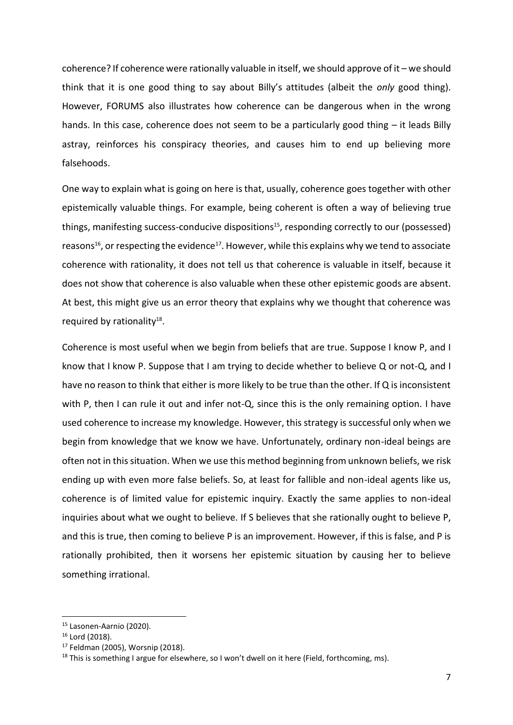coherence? If coherence were rationally valuable in itself, we should approve of it – we should think that it is one good thing to say about Billy's attitudes (albeit the *only* good thing). However, FORUMS also illustrates how coherence can be dangerous when in the wrong hands. In this case, coherence does not seem to be a particularly good thing – it leads Billy astray, reinforces his conspiracy theories, and causes him to end up believing more falsehoods.

One way to explain what is going on here is that, usually, coherence goes together with other epistemically valuable things. For example, being coherent is often a way of believing true things, manifesting success-conducive dispositions<sup>15</sup>, responding correctly to our (possessed) reasons<sup>16</sup>, or respecting the evidence<sup>17</sup>. However, while this explains why we tend to associate coherence with rationality, it does not tell us that coherence is valuable in itself, because it does not show that coherence is also valuable when these other epistemic goods are absent. At best, this might give us an error theory that explains why we thought that coherence was required by rationality<sup>18</sup>.

Coherence is most useful when we begin from beliefs that are true. Suppose I know P, and I know that I know P. Suppose that I am trying to decide whether to believe Q or not-Q, and I have no reason to think that either is more likely to be true than the other. If Q is inconsistent with P, then I can rule it out and infer not-Q, since this is the only remaining option. I have used coherence to increase my knowledge. However, this strategy is successful only when we begin from knowledge that we know we have. Unfortunately, ordinary non-ideal beings are often not in this situation. When we use this method beginning from unknown beliefs, we risk ending up with even more false beliefs. So, at least for fallible and non-ideal agents like us, coherence is of limited value for epistemic inquiry. Exactly the same applies to non-ideal inquiries about what we ought to believe. If S believes that she rationally ought to believe P, and this is true, then coming to believe P is an improvement. However, if this is false, and P is rationally prohibited, then it worsens her epistemic situation by causing her to believe something irrational.

<sup>15</sup> Lasonen-Aarnio (2020).

<sup>16</sup> Lord (2018).

<sup>17</sup> Feldman (2005), Worsnip (2018).

<sup>&</sup>lt;sup>18</sup> This is something I argue for elsewhere, so I won't dwell on it here (Field, forthcoming, ms).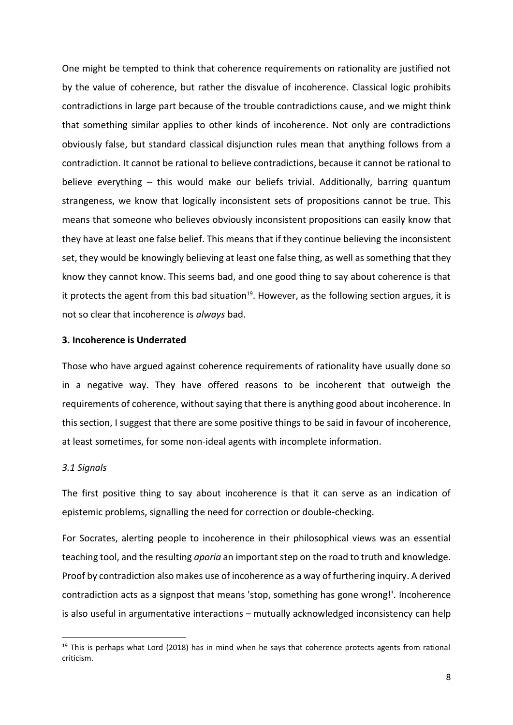One might be tempted to think that coherence requirements on rationality are justified not by the value of coherence, but rather the disvalue of incoherence. Classical logic prohibits contradictions in large part because of the trouble contradictions cause, and we might think that something similar applies to other kinds of incoherence. Not only are contradictions obviously false, but standard classical disjunction rules mean that anything follows from a contradiction. It cannot be rational to believe contradictions, because it cannot be rational to believe everything – this would make our beliefs trivial. Additionally, barring quantum strangeness, we know that logically inconsistent sets of propositions cannot be true. This means that someone who believes obviously inconsistent propositions can easily know that they have at least one false belief. This means that if they continue believing the inconsistent set, they would be knowingly believing at least one false thing, as well as something that they know they cannot know. This seems bad, and one good thing to say about coherence is that it protects the agent from this bad situation<sup>19</sup>. However, as the following section argues, it is not so clear that incoherence is *always* bad.

## **3. Incoherence is Underrated**

Those who have argued against coherence requirements of rationality have usually done so in a negative way. They have offered reasons to be incoherent that outweigh the requirements of coherence, without saying that there is anything good about incoherence. In this section, I suggest that there are some positive things to be said in favour of incoherence, at least sometimes, for some non-ideal agents with incomplete information.

# *3.1 Signals*

The first positive thing to say about incoherence is that it can serve as an indication of epistemic problems, signalling the need for correction or double-checking.

For Socrates, alerting people to incoherence in their philosophical views was an essential teaching tool, and the resulting *aporia* an important step on the road to truth and knowledge. Proof by contradiction also makes use of incoherence as a way of furthering inquiry. A derived contradiction acts as a signpost that means 'stop, something has gone wrong!'. Incoherence is also useful in argumentative interactions – mutually acknowledged inconsistency can help

 $19$  This is perhaps what Lord (2018) has in mind when he says that coherence protects agents from rational criticism.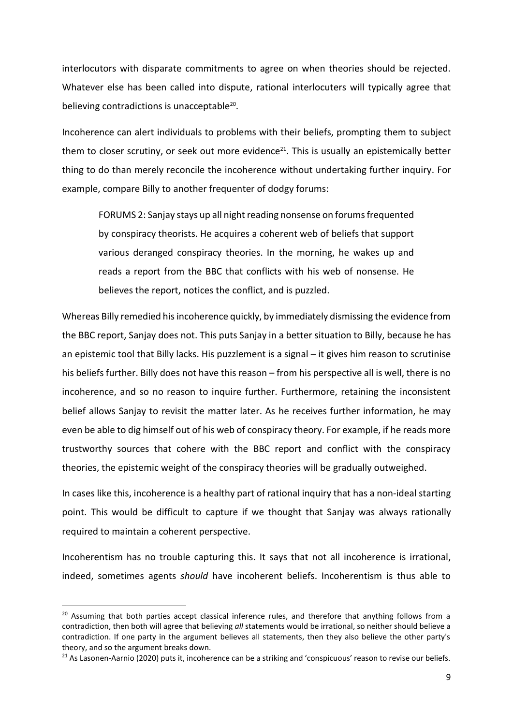interlocutors with disparate commitments to agree on when theories should be rejected. Whatever else has been called into dispute, rational interlocuters will typically agree that believing contradictions is unacceptable<sup>20</sup>.

Incoherence can alert individuals to problems with their beliefs, prompting them to subject them to closer scrutiny, or seek out more evidence<sup>21</sup>. This is usually an epistemically better thing to do than merely reconcile the incoherence without undertaking further inquiry. For example, compare Billy to another frequenter of dodgy forums:

FORUMS 2: Sanjay stays up all night reading nonsense on forums frequented by conspiracy theorists. He acquires a coherent web of beliefs that support various deranged conspiracy theories. In the morning, he wakes up and reads a report from the BBC that conflicts with his web of nonsense. He believes the report, notices the conflict, and is puzzled.

Whereas Billy remedied his incoherence quickly, by immediately dismissing the evidence from the BBC report, Sanjay does not. This puts Sanjay in a better situation to Billy, because he has an epistemic tool that Billy lacks. His puzzlement is a signal – it gives him reason to scrutinise his beliefs further. Billy does not have this reason – from his perspective all is well, there is no incoherence, and so no reason to inquire further. Furthermore, retaining the inconsistent belief allows Sanjay to revisit the matter later. As he receives further information, he may even be able to dig himself out of his web of conspiracy theory. For example, if he reads more trustworthy sources that cohere with the BBC report and conflict with the conspiracy theories, the epistemic weight of the conspiracy theories will be gradually outweighed.

In cases like this, incoherence is a healthy part of rational inquiry that has a non-ideal starting point. This would be difficult to capture if we thought that Sanjay was always rationally required to maintain a coherent perspective.

Incoherentism has no trouble capturing this. It says that not all incoherence is irrational, indeed, sometimes agents *should* have incoherent beliefs. Incoherentism is thus able to

<sup>&</sup>lt;sup>20</sup> Assuming that both parties accept classical inference rules, and therefore that anything follows from a contradiction, then both will agree that believing *all* statements would be irrational, so neither should believe a contradiction. If one party in the argument believes all statements, then they also believe the other party's theory, and so the argument breaks down.

<sup>&</sup>lt;sup>21</sup> As Lasonen-Aarnio (2020) puts it, incoherence can be a striking and 'conspicuous' reason to revise our beliefs.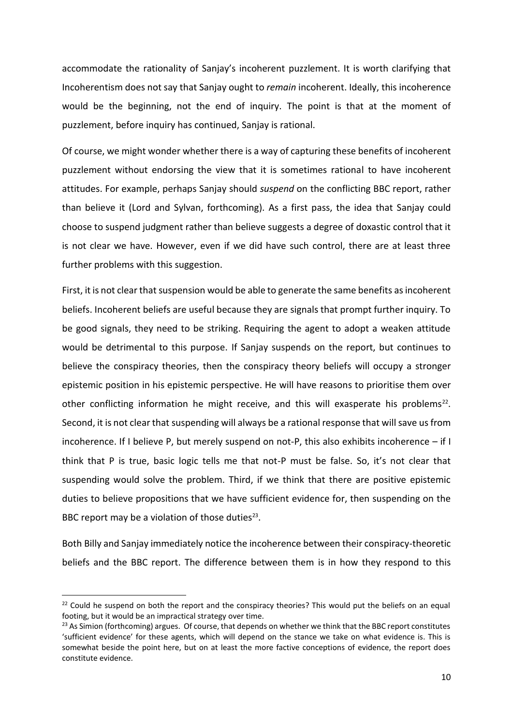accommodate the rationality of Sanjay's incoherent puzzlement. It is worth clarifying that Incoherentism does not say that Sanjay ought to *remain* incoherent. Ideally, this incoherence would be the beginning, not the end of inquiry. The point is that at the moment of puzzlement, before inquiry has continued, Sanjay is rational.

Of course, we might wonder whether there is a way of capturing these benefits of incoherent puzzlement without endorsing the view that it is sometimes rational to have incoherent attitudes. For example, perhaps Sanjay should *suspend* on the conflicting BBC report, rather than believe it (Lord and Sylvan, forthcoming). As a first pass, the idea that Sanjay could choose to suspend judgment rather than believe suggests a degree of doxastic control that it is not clear we have. However, even if we did have such control, there are at least three further problems with this suggestion.

First, it is not clear that suspension would be able to generate the same benefits as incoherent beliefs. Incoherent beliefs are useful because they are signals that prompt further inquiry. To be good signals, they need to be striking. Requiring the agent to adopt a weaken attitude would be detrimental to this purpose. If Sanjay suspends on the report, but continues to believe the conspiracy theories, then the conspiracy theory beliefs will occupy a stronger epistemic position in his epistemic perspective. He will have reasons to prioritise them over other conflicting information he might receive, and this will exasperate his problems<sup>22</sup>. Second, it is not clear that suspending will always be a rational response that will save us from incoherence. If I believe P, but merely suspend on not-P, this also exhibits incoherence – if I think that P is true, basic logic tells me that not-P must be false. So, it's not clear that suspending would solve the problem. Third, if we think that there are positive epistemic duties to believe propositions that we have sufficient evidence for, then suspending on the BBC report may be a violation of those duties $^{23}$ .

Both Billy and Sanjay immediately notice the incoherence between their conspiracy-theoretic beliefs and the BBC report. The difference between them is in how they respond to this

<sup>&</sup>lt;sup>22</sup> Could he suspend on both the report and the conspiracy theories? This would put the beliefs on an equal footing, but it would be an impractical strategy over time.

<sup>&</sup>lt;sup>23</sup> As Simion (forthcoming) argues. Of course, that depends on whether we think that the BBC report constitutes 'sufficient evidence' for these agents, which will depend on the stance we take on what evidence is. This is somewhat beside the point here, but on at least the more factive conceptions of evidence, the report does constitute evidence.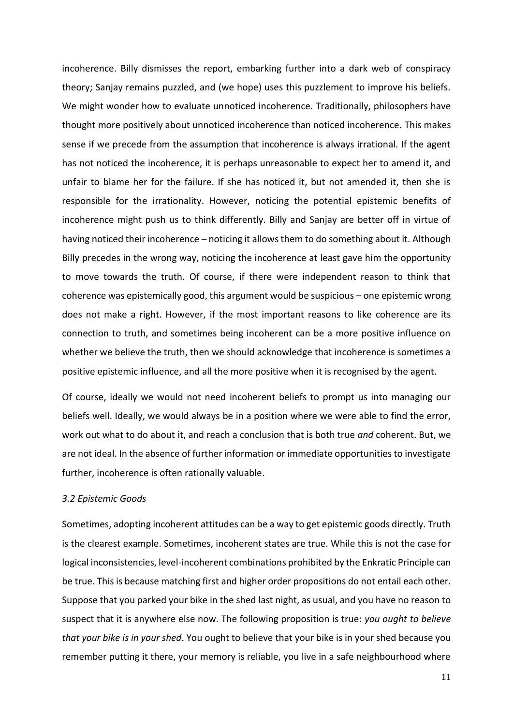incoherence. Billy dismisses the report, embarking further into a dark web of conspiracy theory; Sanjay remains puzzled, and (we hope) uses this puzzlement to improve his beliefs. We might wonder how to evaluate unnoticed incoherence. Traditionally, philosophers have thought more positively about unnoticed incoherence than noticed incoherence. This makes sense if we precede from the assumption that incoherence is always irrational. If the agent has not noticed the incoherence, it is perhaps unreasonable to expect her to amend it, and unfair to blame her for the failure. If she has noticed it, but not amended it, then she is responsible for the irrationality. However, noticing the potential epistemic benefits of incoherence might push us to think differently. Billy and Sanjay are better off in virtue of having noticed their incoherence – noticing it allows them to do something about it. Although Billy precedes in the wrong way, noticing the incoherence at least gave him the opportunity to move towards the truth. Of course, if there were independent reason to think that coherence was epistemically good, this argument would be suspicious – one epistemic wrong does not make a right. However, if the most important reasons to like coherence are its connection to truth, and sometimes being incoherent can be a more positive influence on whether we believe the truth, then we should acknowledge that incoherence is sometimes a positive epistemic influence, and all the more positive when it is recognised by the agent.

Of course, ideally we would not need incoherent beliefs to prompt us into managing our beliefs well. Ideally, we would always be in a position where we were able to find the error, work out what to do about it, and reach a conclusion that is both true *and* coherent. But, we are not ideal. In the absence of further information or immediate opportunities to investigate further, incoherence is often rationally valuable.

#### *3.2 Epistemic Goods*

Sometimes, adopting incoherent attitudes can be a way to get epistemic goods directly. Truth is the clearest example. Sometimes, incoherent states are true. While this is not the case for logical inconsistencies, level-incoherent combinations prohibited by the Enkratic Principle can be true. This is because matching first and higher order propositions do not entail each other. Suppose that you parked your bike in the shed last night, as usual, and you have no reason to suspect that it is anywhere else now. The following proposition is true: *you ought to believe that your bike is in your shed*. You ought to believe that your bike is in your shed because you remember putting it there, your memory is reliable, you live in a safe neighbourhood where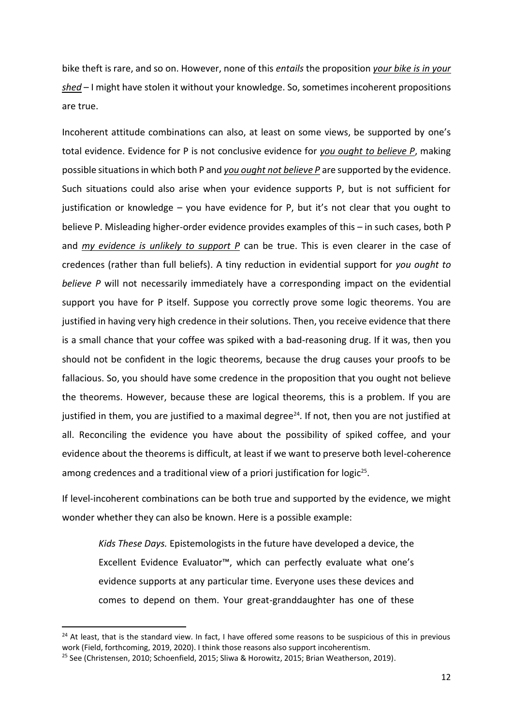bike theft is rare, and so on. However, none of this *entails* the proposition *your bike is in your shed* – I might have stolen it without your knowledge. So, sometimes incoherent propositions are true.

Incoherent attitude combinations can also, at least on some views, be supported by one's total evidence. Evidence for P is not conclusive evidence for *you ought to believe P*, making possible situations in which both P and *you ought not believe P* are supported by the evidence. Such situations could also arise when your evidence supports P, but is not sufficient for justification or knowledge – you have evidence for P, but it's not clear that you ought to believe P. Misleading higher-order evidence provides examples of this – in such cases, both P and *my evidence is unlikely to support P* can be true. This is even clearer in the case of credences (rather than full beliefs). A tiny reduction in evidential support for *you ought to believe P* will not necessarily immediately have a corresponding impact on the evidential support you have for P itself. Suppose you correctly prove some logic theorems. You are justified in having very high credence in their solutions. Then, you receive evidence that there is a small chance that your coffee was spiked with a bad-reasoning drug. If it was, then you should not be confident in the logic theorems, because the drug causes your proofs to be fallacious. So, you should have some credence in the proposition that you ought not believe the theorems. However, because these are logical theorems, this is a problem. If you are justified in them, you are justified to a maximal degree<sup>24</sup>. If not, then you are not justified at all. Reconciling the evidence you have about the possibility of spiked coffee, and your evidence about the theorems is difficult, at least if we want to preserve both level-coherence among credences and a traditional view of a priori justification for logic<sup>25</sup>.

If level-incoherent combinations can be both true and supported by the evidence, we might wonder whether they can also be known. Here is a possible example:

*Kids These Days.* Epistemologists in the future have developed a device, the Excellent Evidence Evaluator™, which can perfectly evaluate what one's evidence supports at any particular time. Everyone uses these devices and comes to depend on them. Your great-granddaughter has one of these

<sup>&</sup>lt;sup>24</sup> At least, that is the standard view. In fact, I have offered some reasons to be suspicious of this in previous work (Field, forthcoming, 2019, 2020). I think those reasons also support incoherentism.

<sup>&</sup>lt;sup>25</sup> See (Christensen, 2010; Schoenfield, 2015; Sliwa & Horowitz, 2015; Brian Weatherson, 2019).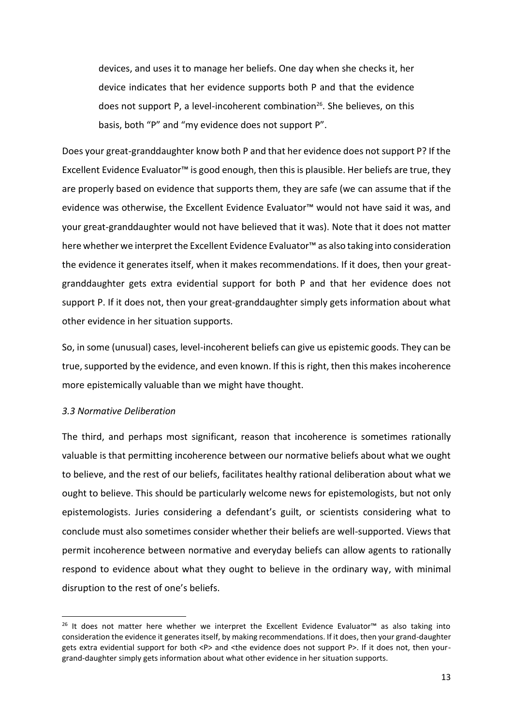devices, and uses it to manage her beliefs. One day when she checks it, her device indicates that her evidence supports both P and that the evidence does not support P, a level-incoherent combination<sup>26</sup>. She believes, on this basis, both "P" and "my evidence does not support P".

Does your great-granddaughter know both P and that her evidence does not support P? If the Excellent Evidence Evaluator™ is good enough, then this is plausible. Her beliefs are true, they are properly based on evidence that supports them, they are safe (we can assume that if the evidence was otherwise, the Excellent Evidence Evaluator™ would not have said it was, and your great-granddaughter would not have believed that it was). Note that it does not matter here whether we interpret the Excellent Evidence Evaluator™ as also taking into consideration the evidence it generates itself, when it makes recommendations. If it does, then your greatgranddaughter gets extra evidential support for both P and that her evidence does not support P. If it does not, then your great-granddaughter simply gets information about what other evidence in her situation supports.

So, in some (unusual) cases, level-incoherent beliefs can give us epistemic goods. They can be true, supported by the evidence, and even known. If this is right, then this makes incoherence more epistemically valuable than we might have thought.

### *3.3 Normative Deliberation*

The third, and perhaps most significant, reason that incoherence is sometimes rationally valuable is that permitting incoherence between our normative beliefs about what we ought to believe, and the rest of our beliefs, facilitates healthy rational deliberation about what we ought to believe. This should be particularly welcome news for epistemologists, but not only epistemologists. Juries considering a defendant's guilt, or scientists considering what to conclude must also sometimes consider whether their beliefs are well-supported. Views that permit incoherence between normative and everyday beliefs can allow agents to rationally respond to evidence about what they ought to believe in the ordinary way, with minimal disruption to the rest of one's beliefs.

<sup>&</sup>lt;sup>26</sup> It does not matter here whether we interpret the Excellent Evidence Evaluator<sup>™</sup> as also taking into consideration the evidence it generates itself, by making recommendations. If it does, then your grand-daughter gets extra evidential support for both <P> and <the evidence does not support P>. If it does not, then yourgrand-daughter simply gets information about what other evidence in her situation supports.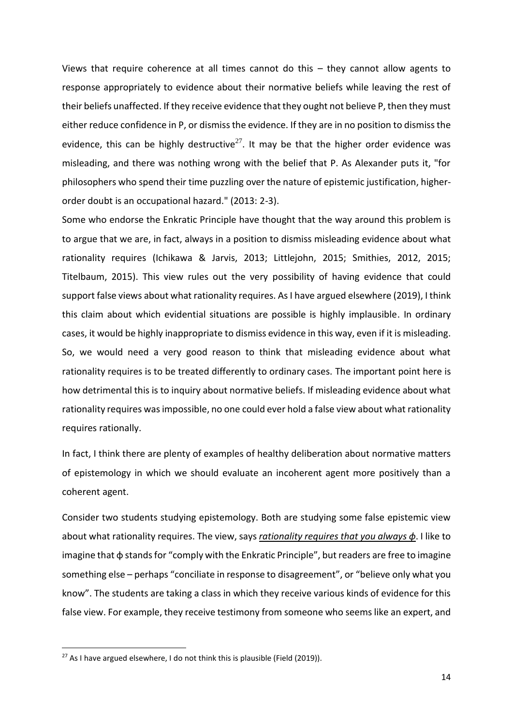Views that require coherence at all times cannot do this – they cannot allow agents to response appropriately to evidence about their normative beliefs while leaving the rest of their beliefs unaffected. If they receive evidence that they ought not believe P, then they must either reduce confidence in P, or dismiss the evidence. If they are in no position to dismiss the evidence, this can be highly destructive<sup>27</sup>. It may be that the higher order evidence was misleading, and there was nothing wrong with the belief that P. As Alexander puts it, "for philosophers who spend their time puzzling over the nature of epistemic justification, higherorder doubt is an occupational hazard." (2013: 2-3).

Some who endorse the Enkratic Principle have thought that the way around this problem is to argue that we are, in fact, always in a position to dismiss misleading evidence about what rationality requires (Ichikawa & Jarvis, 2013; Littlejohn, 2015; Smithies, 2012, 2015; Titelbaum, 2015). This view rules out the very possibility of having evidence that could support false views about what rationality requires. As I have argued elsewhere (2019), I think this claim about which evidential situations are possible is highly implausible. In ordinary cases, it would be highly inappropriate to dismiss evidence in this way, even if it is misleading. So, we would need a very good reason to think that misleading evidence about what rationality requires is to be treated differently to ordinary cases. The important point here is how detrimental this is to inquiry about normative beliefs. If misleading evidence about what rationality requires was impossible, no one could ever hold a false view about what rationality requires rationally.

In fact, I think there are plenty of examples of healthy deliberation about normative matters of epistemology in which we should evaluate an incoherent agent more positively than a coherent agent.

Consider two students studying epistemology. Both are studying some false epistemic view about what rationality requires. The view, says *rationality requires that you always ɸ*. I like to imagine that ɸ stands for "comply with the Enkratic Principle", but readers are free to imagine something else – perhaps "conciliate in response to disagreement", or "believe only what you know". The students are taking a class in which they receive various kinds of evidence for this false view. For example, they receive testimony from someone who seems like an expert, and

 $27$  As I have argued elsewhere, I do not think this is plausible (Field (2019)).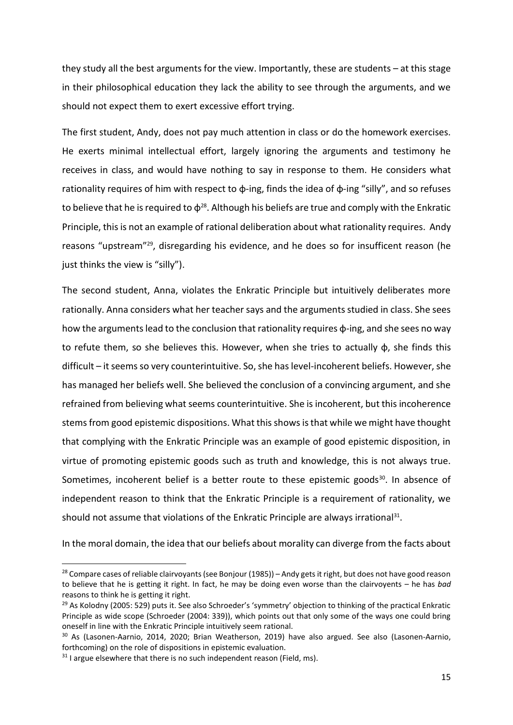they study all the best arguments for the view. Importantly, these are students – at this stage in their philosophical education they lack the ability to see through the arguments, and we should not expect them to exert excessive effort trying.

The first student, Andy, does not pay much attention in class or do the homework exercises. He exerts minimal intellectual effort, largely ignoring the arguments and testimony he receives in class, and would have nothing to say in response to them. He considers what rationality requires of him with respect to ɸ-ing, finds the idea of ɸ-ing "silly", and so refuses to believe that he is required to  $\phi^{28}$ . Although his beliefs are true and comply with the Enkratic Principle, this is not an example of rational deliberation about what rationality requires. Andy reasons "upstream"<sup>29</sup>, disregarding his evidence, and he does so for insufficent reason (he just thinks the view is "silly").

The second student, Anna, violates the Enkratic Principle but intuitively deliberates more rationally. Anna considers what her teacher says and the arguments studied in class. She sees how the arguments lead to the conclusion that rationality requires  $\phi$ -ing, and she sees no way to refute them, so she believes this. However, when she tries to actually ɸ, she finds this difficult – it seems so very counterintuitive. So, she has level-incoherent beliefs. However, she has managed her beliefs well. She believed the conclusion of a convincing argument, and she refrained from believing what seems counterintuitive. She is incoherent, but this incoherence stems from good epistemic dispositions. What this shows is that while we might have thought that complying with the Enkratic Principle was an example of good epistemic disposition, in virtue of promoting epistemic goods such as truth and knowledge, this is not always true. Sometimes, incoherent belief is a better route to these epistemic goods<sup>30</sup>. In absence of independent reason to think that the Enkratic Principle is a requirement of rationality, we should not assume that violations of the Enkratic Principle are always irrational<sup>31</sup>.

In the moral domain, the idea that our beliefs about morality can diverge from the facts about

 $28$  Compare cases of reliable clairvoyants (see Bonjour (1985)) – Andy gets it right, but does not have good reason to believe that he is getting it right. In fact, he may be doing even worse than the clairvoyents – he has *bad* reasons to think he is getting it right.

<sup>&</sup>lt;sup>29</sup> As Kolodny (2005: 529) puts it. See also Schroeder's 'symmetry' objection to thinking of the practical Enkratic Principle as wide scope (Schroeder (2004: 339)), which points out that only some of the ways one could bring oneself in line with the Enkratic Principle intuitively seem rational.

<sup>&</sup>lt;sup>30</sup> As (Lasonen-Aarnio, 2014, 2020; Brian Weatherson, 2019) have also argued. See also (Lasonen-Aarnio, forthcoming) on the role of dispositions in epistemic evaluation.

 $31$  I argue elsewhere that there is no such independent reason (Field, ms).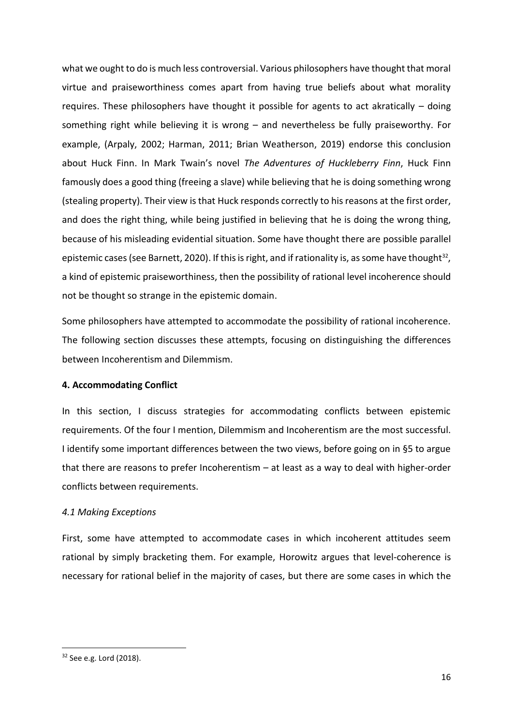what we ought to do is much less controversial. Various philosophers have thought that moral virtue and praiseworthiness comes apart from having true beliefs about what morality requires. These philosophers have thought it possible for agents to act akratically – doing something right while believing it is wrong – and nevertheless be fully praiseworthy. For example, (Arpaly, 2002; Harman, 2011; Brian Weatherson, 2019) endorse this conclusion about Huck Finn. In Mark Twain's novel *The Adventures of Huckleberry Finn*, Huck Finn famously does a good thing (freeing a slave) while believing that he is doing something wrong (stealing property). Their view is that Huck responds correctly to his reasons at the first order, and does the right thing, while being justified in believing that he is doing the wrong thing, because of his misleading evidential situation. Some have thought there are possible parallel epistemic cases (see Barnett, 2020). If this is right, and if rationality is, as some have thought<sup>32</sup>, a kind of epistemic praiseworthiness, then the possibility of rational level incoherence should not be thought so strange in the epistemic domain.

Some philosophers have attempted to accommodate the possibility of rational incoherence. The following section discusses these attempts, focusing on distinguishing the differences between Incoherentism and Dilemmism.

# **4. Accommodating Conflict**

In this section, I discuss strategies for accommodating conflicts between epistemic requirements. Of the four I mention, Dilemmism and Incoherentism are the most successful. I identify some important differences between the two views, before going on in §5 to argue that there are reasons to prefer Incoherentism – at least as a way to deal with higher-order conflicts between requirements.

### *4.1 Making Exceptions*

First, some have attempted to accommodate cases in which incoherent attitudes seem rational by simply bracketing them. For example, Horowitz argues that level-coherence is necessary for rational belief in the majority of cases, but there are some cases in which the

<sup>&</sup>lt;sup>32</sup> See e.g. Lord (2018).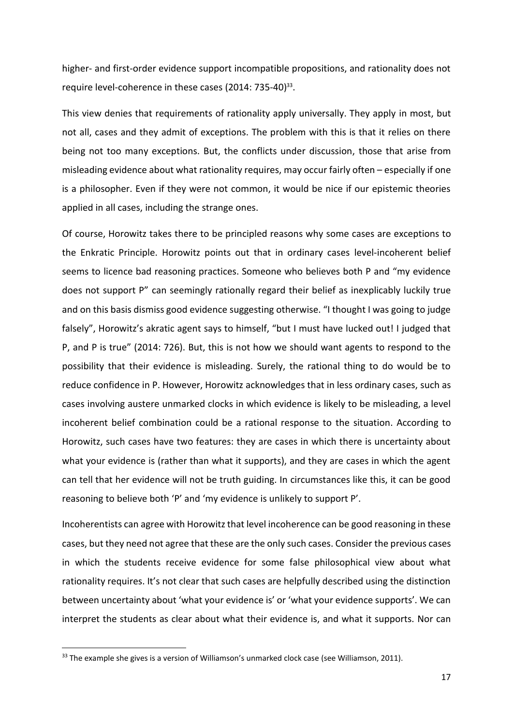higher- and first-order evidence support incompatible propositions, and rationality does not require level-coherence in these cases (2014: 735-40)<sup>33</sup>.

This view denies that requirements of rationality apply universally. They apply in most, but not all, cases and they admit of exceptions. The problem with this is that it relies on there being not too many exceptions. But, the conflicts under discussion, those that arise from misleading evidence about what rationality requires, may occur fairly often – especially if one is a philosopher. Even if they were not common, it would be nice if our epistemic theories applied in all cases, including the strange ones.

Of course, Horowitz takes there to be principled reasons why some cases are exceptions to the Enkratic Principle. Horowitz points out that in ordinary cases level-incoherent belief seems to licence bad reasoning practices. Someone who believes both P and "my evidence does not support P" can seemingly rationally regard their belief as inexplicably luckily true and on this basis dismiss good evidence suggesting otherwise. "I thought I was going to judge falsely", Horowitz's akratic agent says to himself, "but I must have lucked out! I judged that P, and P is true" (2014: 726). But, this is not how we should want agents to respond to the possibility that their evidence is misleading. Surely, the rational thing to do would be to reduce confidence in P. However, Horowitz acknowledges that in less ordinary cases, such as cases involving austere unmarked clocks in which evidence is likely to be misleading, a level incoherent belief combination could be a rational response to the situation. According to Horowitz, such cases have two features: they are cases in which there is uncertainty about what your evidence is (rather than what it supports), and they are cases in which the agent can tell that her evidence will not be truth guiding. In circumstances like this, it can be good reasoning to believe both 'P' and 'my evidence is unlikely to support P'.

Incoherentists can agree with Horowitz that level incoherence can be good reasoning in these cases, but they need not agree that these are the only such cases. Consider the previous cases in which the students receive evidence for some false philosophical view about what rationality requires. It's not clear that such cases are helpfully described using the distinction between uncertainty about 'what your evidence is' or 'what your evidence supports'. We can interpret the students as clear about what their evidence is, and what it supports. Nor can

<sup>&</sup>lt;sup>33</sup> The example she gives is a version of Williamson's unmarked clock case (see Williamson, 2011).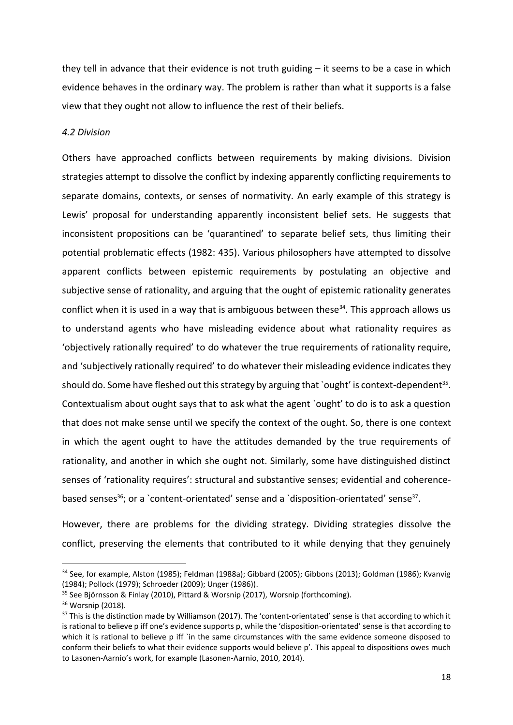they tell in advance that their evidence is not truth guiding  $-$  it seems to be a case in which evidence behaves in the ordinary way. The problem is rather than what it supports is a false view that they ought not allow to influence the rest of their beliefs.

#### *4.2 Division*

Others have approached conflicts between requirements by making divisions. Division strategies attempt to dissolve the conflict by indexing apparently conflicting requirements to separate domains, contexts, or senses of normativity. An early example of this strategy is Lewis' proposal for understanding apparently inconsistent belief sets. He suggests that inconsistent propositions can be 'quarantined' to separate belief sets, thus limiting their potential problematic effects (1982: 435). Various philosophers have attempted to dissolve apparent conflicts between epistemic requirements by postulating an objective and subjective sense of rationality, and arguing that the ought of epistemic rationality generates conflict when it is used in a way that is ambiguous between these $34$ . This approach allows us to understand agents who have misleading evidence about what rationality requires as 'objectively rationally required' to do whatever the true requirements of rationality require, and 'subjectively rationally required' to do whatever their misleading evidence indicates they should do. Some have fleshed out this strategy by arguing that `ought' is context-dependent<sup>35</sup>. Contextualism about ought says that to ask what the agent `ought' to do is to ask a question that does not make sense until we specify the context of the ought. So, there is one context in which the agent ought to have the attitudes demanded by the true requirements of rationality, and another in which she ought not. Similarly, some have distinguished distinct senses of 'rationality requires': structural and substantive senses; evidential and coherencebased senses<sup>36</sup>; or a `content-orientated' sense and a `disposition-orientated' sense<sup>37</sup>.

However, there are problems for the dividing strategy. Dividing strategies dissolve the conflict, preserving the elements that contributed to it while denying that they genuinely

<sup>&</sup>lt;sup>34</sup> See, for example, Alston (1985); Feldman (1988a); Gibbard (2005); Gibbons (2013); Goldman (1986); Kvanvig (1984); Pollock (1979); Schroeder (2009); Unger (1986)).

<sup>35</sup> See Björnsson & Finlay (2010), Pittard & Worsnip (2017), Worsnip (forthcoming).

<sup>36</sup> Worsnip (2018).

<sup>&</sup>lt;sup>37</sup> This is the distinction made by Williamson (2017). The 'content-orientated' sense is that according to which it is rational to believe p iff one's evidence supports p, while the 'disposition-orientated' sense is that according to which it is rational to believe p iff `in the same circumstances with the same evidence someone disposed to conform their beliefs to what their evidence supports would believe p'. This appeal to dispositions owes much to Lasonen-Aarnio's work, for example (Lasonen-Aarnio, 2010, 2014).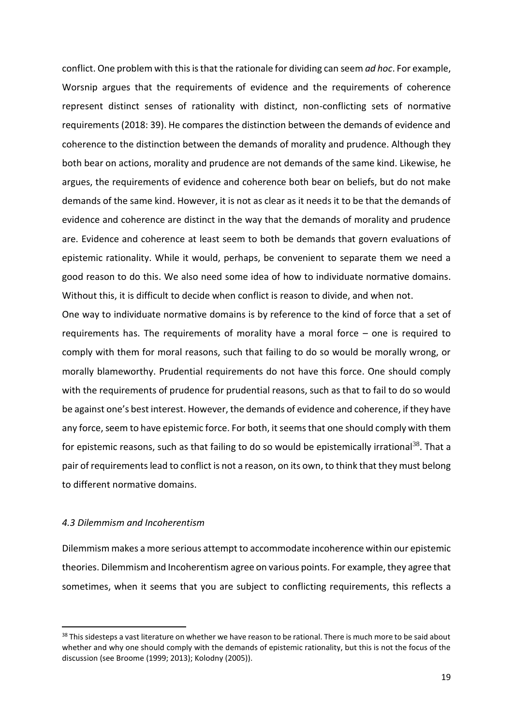conflict. One problem with this is that the rationale for dividing can seem *ad hoc*. For example, Worsnip argues that the requirements of evidence and the requirements of coherence represent distinct senses of rationality with distinct, non-conflicting sets of normative requirements (2018: 39). He compares the distinction between the demands of evidence and coherence to the distinction between the demands of morality and prudence. Although they both bear on actions, morality and prudence are not demands of the same kind. Likewise, he argues, the requirements of evidence and coherence both bear on beliefs, but do not make demands of the same kind. However, it is not as clear as it needs it to be that the demands of evidence and coherence are distinct in the way that the demands of morality and prudence are. Evidence and coherence at least seem to both be demands that govern evaluations of epistemic rationality. While it would, perhaps, be convenient to separate them we need a good reason to do this. We also need some idea of how to individuate normative domains. Without this, it is difficult to decide when conflict is reason to divide, and when not.

One way to individuate normative domains is by reference to the kind of force that a set of requirements has. The requirements of morality have a moral force – one is required to comply with them for moral reasons, such that failing to do so would be morally wrong, or morally blameworthy. Prudential requirements do not have this force. One should comply with the requirements of prudence for prudential reasons, such as that to fail to do so would be against one's best interest. However, the demands of evidence and coherence, if they have any force, seem to have epistemic force. For both, it seems that one should comply with them for epistemic reasons, such as that failing to do so would be epistemically irrational<sup>38</sup>. That a pair of requirements lead to conflict is not a reason, on its own, to think that they must belong to different normative domains.

# *4.3 Dilemmism and Incoherentism*

Dilemmism makes a more serious attempt to accommodate incoherence within our epistemic theories. Dilemmism and Incoherentism agree on various points. For example, they agree that sometimes, when it seems that you are subject to conflicting requirements, this reflects a

<sup>&</sup>lt;sup>38</sup> This sidesteps a vast literature on whether we have reason to be rational. There is much more to be said about whether and why one should comply with the demands of epistemic rationality, but this is not the focus of the discussion (see Broome (1999; 2013); Kolodny (2005)).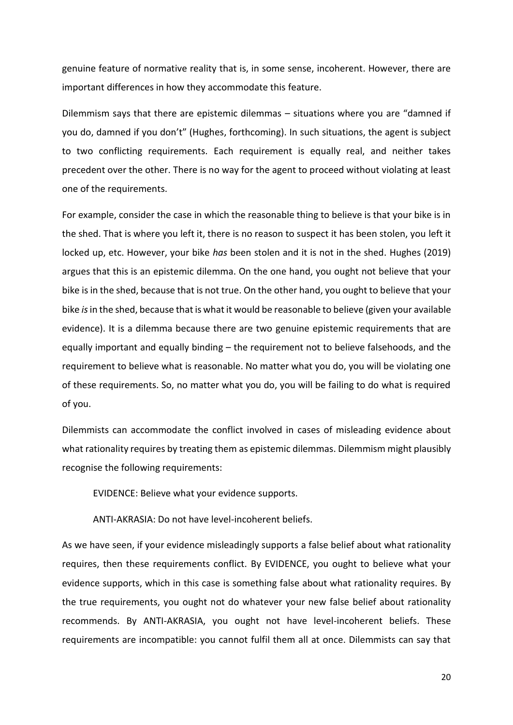genuine feature of normative reality that is, in some sense, incoherent. However, there are important differences in how they accommodate this feature.

Dilemmism says that there are epistemic dilemmas – situations where you are "damned if you do, damned if you don't" (Hughes, forthcoming). In such situations, the agent is subject to two conflicting requirements. Each requirement is equally real, and neither takes precedent over the other. There is no way for the agent to proceed without violating at least one of the requirements.

For example, consider the case in which the reasonable thing to believe is that your bike is in the shed. That is where you left it, there is no reason to suspect it has been stolen, you left it locked up, etc. However, your bike *has* been stolen and it is not in the shed. Hughes (2019) argues that this is an epistemic dilemma. On the one hand, you ought not believe that your bike is in the shed, because that is not true. On the other hand, you ought to believe that your bike *is*in the shed, because that is what it would be reasonable to believe (given your available evidence). It is a dilemma because there are two genuine epistemic requirements that are equally important and equally binding – the requirement not to believe falsehoods, and the requirement to believe what is reasonable. No matter what you do, you will be violating one of these requirements. So, no matter what you do, you will be failing to do what is required of you.

Dilemmists can accommodate the conflict involved in cases of misleading evidence about what rationality requires by treating them as epistemic dilemmas. Dilemmism might plausibly recognise the following requirements:

EVIDENCE: Believe what your evidence supports.

ANTI-AKRASIA: Do not have level-incoherent beliefs.

As we have seen, if your evidence misleadingly supports a false belief about what rationality requires, then these requirements conflict. By EVIDENCE, you ought to believe what your evidence supports, which in this case is something false about what rationality requires. By the true requirements, you ought not do whatever your new false belief about rationality recommends. By ANTI-AKRASIA, you ought not have level-incoherent beliefs. These requirements are incompatible: you cannot fulfil them all at once. Dilemmists can say that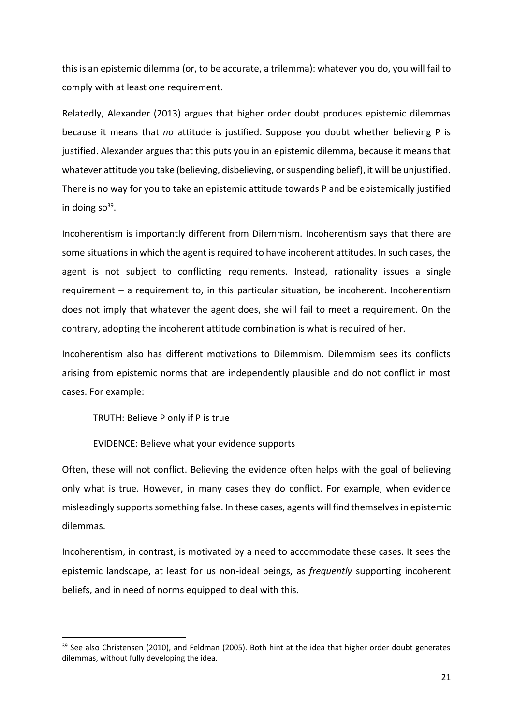this is an epistemic dilemma (or, to be accurate, a trilemma): whatever you do, you will fail to comply with at least one requirement.

Relatedly, Alexander (2013) argues that higher order doubt produces epistemic dilemmas because it means that *no* attitude is justified. Suppose you doubt whether believing P is justified. Alexander argues that this puts you in an epistemic dilemma, because it means that whatever attitude you take (believing, disbelieving, or suspending belief), it will be unjustified. There is no way for you to take an epistemic attitude towards P and be epistemically justified in doing so<sup>39</sup>.

Incoherentism is importantly different from Dilemmism. Incoherentism says that there are some situations in which the agent is required to have incoherent attitudes. In such cases, the agent is not subject to conflicting requirements. Instead, rationality issues a single requirement – a requirement to, in this particular situation, be incoherent. Incoherentism does not imply that whatever the agent does, she will fail to meet a requirement. On the contrary, adopting the incoherent attitude combination is what is required of her.

Incoherentism also has different motivations to Dilemmism. Dilemmism sees its conflicts arising from epistemic norms that are independently plausible and do not conflict in most cases. For example:

TRUTH: Believe P only if P is true

EVIDENCE: Believe what your evidence supports

Often, these will not conflict. Believing the evidence often helps with the goal of believing only what is true. However, in many cases they do conflict. For example, when evidence misleadingly supports something false. In these cases, agents will find themselves in epistemic dilemmas.

Incoherentism, in contrast, is motivated by a need to accommodate these cases. It sees the epistemic landscape, at least for us non-ideal beings, as *frequently* supporting incoherent beliefs, and in need of norms equipped to deal with this.

<sup>&</sup>lt;sup>39</sup> See also Christensen (2010), and Feldman (2005). Both hint at the idea that higher order doubt generates dilemmas, without fully developing the idea.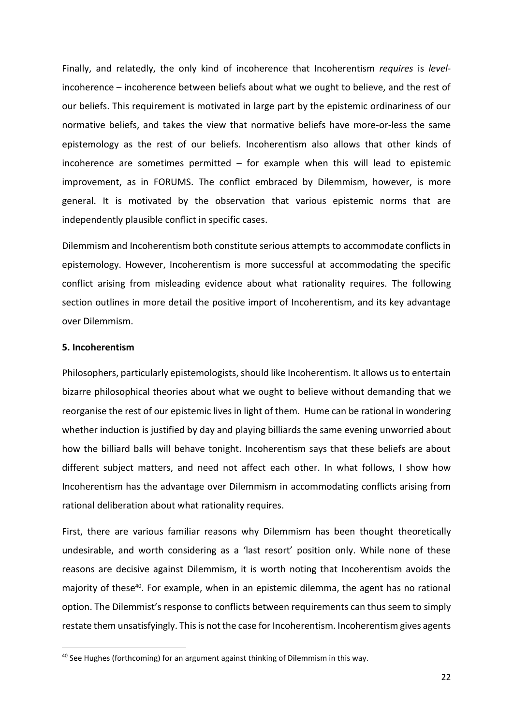Finally, and relatedly, the only kind of incoherence that Incoherentism *requires* is *level*incoherence – incoherence between beliefs about what we ought to believe, and the rest of our beliefs. This requirement is motivated in large part by the epistemic ordinariness of our normative beliefs, and takes the view that normative beliefs have more-or-less the same epistemology as the rest of our beliefs. Incoherentism also allows that other kinds of incoherence are sometimes permitted  $-$  for example when this will lead to epistemic improvement, as in FORUMS. The conflict embraced by Dilemmism, however, is more general. It is motivated by the observation that various epistemic norms that are independently plausible conflict in specific cases.

Dilemmism and Incoherentism both constitute serious attempts to accommodate conflicts in epistemology. However, Incoherentism is more successful at accommodating the specific conflict arising from misleading evidence about what rationality requires. The following section outlines in more detail the positive import of Incoherentism, and its key advantage over Dilemmism.

## **5. Incoherentism**

Philosophers, particularly epistemologists, should like Incoherentism. It allows us to entertain bizarre philosophical theories about what we ought to believe without demanding that we reorganise the rest of our epistemic lives in light of them. Hume can be rational in wondering whether induction is justified by day and playing billiards the same evening unworried about how the billiard balls will behave tonight. Incoherentism says that these beliefs are about different subject matters, and need not affect each other. In what follows, I show how Incoherentism has the advantage over Dilemmism in accommodating conflicts arising from rational deliberation about what rationality requires.

First, there are various familiar reasons why Dilemmism has been thought theoretically undesirable, and worth considering as a 'last resort' position only. While none of these reasons are decisive against Dilemmism, it is worth noting that Incoherentism avoids the majority of these<sup>40</sup>. For example, when in an epistemic dilemma, the agent has no rational option. The Dilemmist's response to conflicts between requirements can thus seem to simply restate them unsatisfyingly. This is not the case for Incoherentism. Incoherentism gives agents

<sup>&</sup>lt;sup>40</sup> See Hughes (forthcoming) for an argument against thinking of Dilemmism in this way.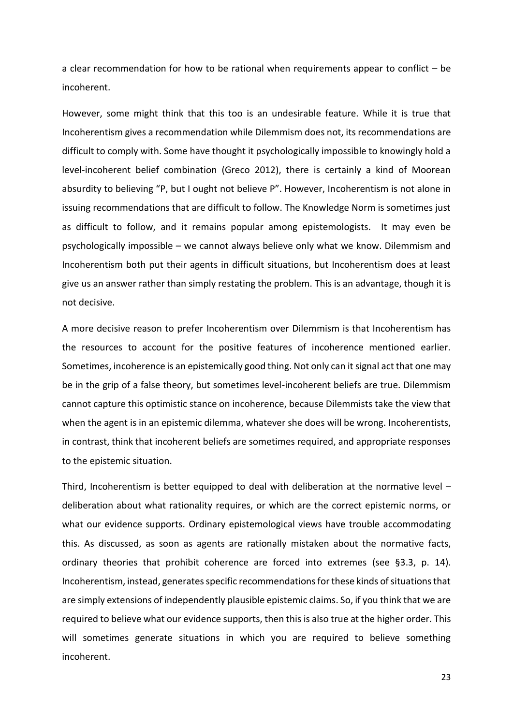a clear recommendation for how to be rational when requirements appear to conflict – be incoherent.

However, some might think that this too is an undesirable feature. While it is true that Incoherentism gives a recommendation while Dilemmism does not, its recommendations are difficult to comply with. Some have thought it psychologically impossible to knowingly hold a level-incoherent belief combination (Greco 2012), there is certainly a kind of Moorean absurdity to believing "P, but I ought not believe P". However, Incoherentism is not alone in issuing recommendations that are difficult to follow. The Knowledge Norm is sometimes just as difficult to follow, and it remains popular among epistemologists. It may even be psychologically impossible – we cannot always believe only what we know. Dilemmism and Incoherentism both put their agents in difficult situations, but Incoherentism does at least give us an answer rather than simply restating the problem. This is an advantage, though it is not decisive.

A more decisive reason to prefer Incoherentism over Dilemmism is that Incoherentism has the resources to account for the positive features of incoherence mentioned earlier. Sometimes, incoherence is an epistemically good thing. Not only can it signal act that one may be in the grip of a false theory, but sometimes level-incoherent beliefs are true. Dilemmism cannot capture this optimistic stance on incoherence, because Dilemmists take the view that when the agent is in an epistemic dilemma, whatever she does will be wrong. Incoherentists, in contrast, think that incoherent beliefs are sometimes required, and appropriate responses to the epistemic situation.

Third, Incoherentism is better equipped to deal with deliberation at the normative level – deliberation about what rationality requires, or which are the correct epistemic norms, or what our evidence supports. Ordinary epistemological views have trouble accommodating this. As discussed, as soon as agents are rationally mistaken about the normative facts, ordinary theories that prohibit coherence are forced into extremes (see §3.3, p. 14). Incoherentism, instead, generates specific recommendations for these kinds of situations that are simply extensions of independently plausible epistemic claims. So, if you think that we are required to believe what our evidence supports, then this is also true at the higher order. This will sometimes generate situations in which you are required to believe something incoherent.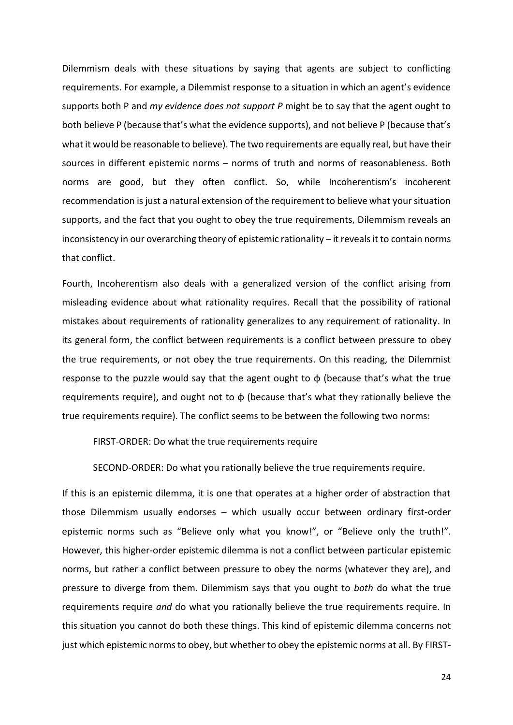Dilemmism deals with these situations by saying that agents are subject to conflicting requirements. For example, a Dilemmist response to a situation in which an agent's evidence supports both P and *my evidence does not support P* might be to say that the agent ought to both believe P (because that's what the evidence supports), and not believe P (because that's what it would be reasonable to believe). The two requirements are equally real, but have their sources in different epistemic norms – norms of truth and norms of reasonableness. Both norms are good, but they often conflict. So, while Incoherentism's incoherent recommendation is just a natural extension of the requirement to believe what your situation supports, and the fact that you ought to obey the true requirements, Dilemmism reveals an inconsistency in our overarching theory of epistemic rationality – it reveals it to contain norms that conflict.

Fourth, Incoherentism also deals with a generalized version of the conflict arising from misleading evidence about what rationality requires. Recall that the possibility of rational mistakes about requirements of rationality generalizes to any requirement of rationality. In its general form, the conflict between requirements is a conflict between pressure to obey the true requirements, or not obey the true requirements. On this reading, the Dilemmist response to the puzzle would say that the agent ought to  $\phi$  (because that's what the true requirements require), and ought not to  $\phi$  (because that's what they rationally believe the true requirements require). The conflict seems to be between the following two norms:

FIRST-ORDER: Do what the true requirements require

SECOND-ORDER: Do what you rationally believe the true requirements require.

If this is an epistemic dilemma, it is one that operates at a higher order of abstraction that those Dilemmism usually endorses – which usually occur between ordinary first-order epistemic norms such as "Believe only what you know!", or "Believe only the truth!". However, this higher-order epistemic dilemma is not a conflict between particular epistemic norms, but rather a conflict between pressure to obey the norms (whatever they are), and pressure to diverge from them. Dilemmism says that you ought to *both* do what the true requirements require *and* do what you rationally believe the true requirements require. In this situation you cannot do both these things. This kind of epistemic dilemma concerns not just which epistemic norms to obey, but whether to obey the epistemic norms at all. By FIRST-

24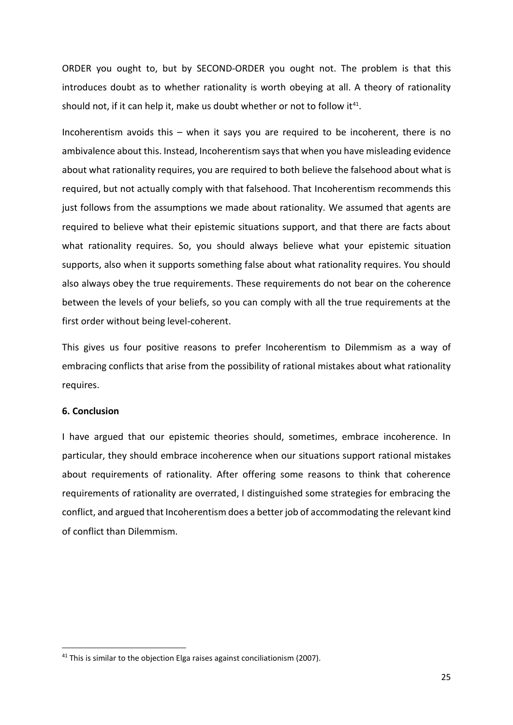ORDER you ought to, but by SECOND-ORDER you ought not. The problem is that this introduces doubt as to whether rationality is worth obeying at all. A theory of rationality should not, if it can help it, make us doubt whether or not to follow it $41$ .

Incoherentism avoids this – when it says you are required to be incoherent, there is no ambivalence about this. Instead, Incoherentism says that when you have misleading evidence about what rationality requires, you are required to both believe the falsehood about what is required, but not actually comply with that falsehood. That Incoherentism recommends this just follows from the assumptions we made about rationality. We assumed that agents are required to believe what their epistemic situations support, and that there are facts about what rationality requires. So, you should always believe what your epistemic situation supports, also when it supports something false about what rationality requires. You should also always obey the true requirements. These requirements do not bear on the coherence between the levels of your beliefs, so you can comply with all the true requirements at the first order without being level-coherent.

This gives us four positive reasons to prefer Incoherentism to Dilemmism as a way of embracing conflicts that arise from the possibility of rational mistakes about what rationality requires.

### **6. Conclusion**

I have argued that our epistemic theories should, sometimes, embrace incoherence. In particular, they should embrace incoherence when our situations support rational mistakes about requirements of rationality. After offering some reasons to think that coherence requirements of rationality are overrated, I distinguished some strategies for embracing the conflict, and argued that Incoherentism does a better job of accommodating the relevant kind of conflict than Dilemmism.

<sup>&</sup>lt;sup>41</sup> This is similar to the objection Elga raises against conciliationism (2007).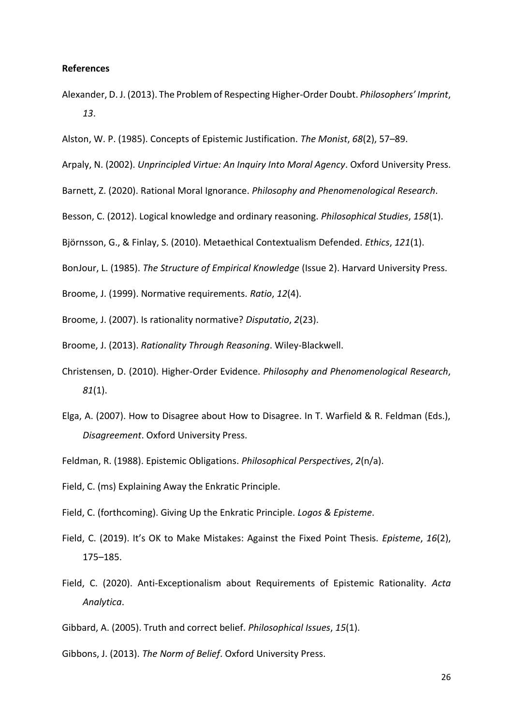#### **References**

- Alexander, D. J. (2013). The Problem of Respecting Higher-Order Doubt. *Philosophers' Imprint*, *13*.
- Alston, W. P. (1985). Concepts of Epistemic Justification. *The Monist*, *68*(2), 57–89.
- Arpaly, N. (2002). *Unprincipled Virtue: An Inquiry Into Moral Agency*. Oxford University Press.
- Barnett, Z. (2020). Rational Moral Ignorance. *Philosophy and Phenomenological Research*.
- Besson, C. (2012). Logical knowledge and ordinary reasoning. *Philosophical Studies*, *158*(1).
- Björnsson, G., & Finlay, S. (2010). Metaethical Contextualism Defended. *Ethics*, *121*(1).
- BonJour, L. (1985). *The Structure of Empirical Knowledge* (Issue 2). Harvard University Press.
- Broome, J. (1999). Normative requirements. *Ratio*, *12*(4).
- Broome, J. (2007). Is rationality normative? *Disputatio*, *2*(23).
- Broome, J. (2013). *Rationality Through Reasoning*. Wiley-Blackwell.
- Christensen, D. (2010). Higher-Order Evidence. *Philosophy and Phenomenological Research*, *81*(1).
- Elga, A. (2007). How to Disagree about How to Disagree. In T. Warfield & R. Feldman (Eds.), *Disagreement*. Oxford University Press.
- Feldman, R. (1988). Epistemic Obligations. *Philosophical Perspectives*, *2*(n/a).
- Field, C. (ms) Explaining Away the Enkratic Principle.
- Field, C. (forthcoming). Giving Up the Enkratic Principle. *Logos & Episteme*.
- Field, C. (2019). It's OK to Make Mistakes: Against the Fixed Point Thesis. *Episteme*, *16*(2), 175–185.
- Field, C. (2020). Anti-Exceptionalism about Requirements of Epistemic Rationality. *Acta Analytica*.
- Gibbard, A. (2005). Truth and correct belief. *Philosophical Issues*, *15*(1).
- Gibbons, J. (2013). *The Norm of Belief*. Oxford University Press.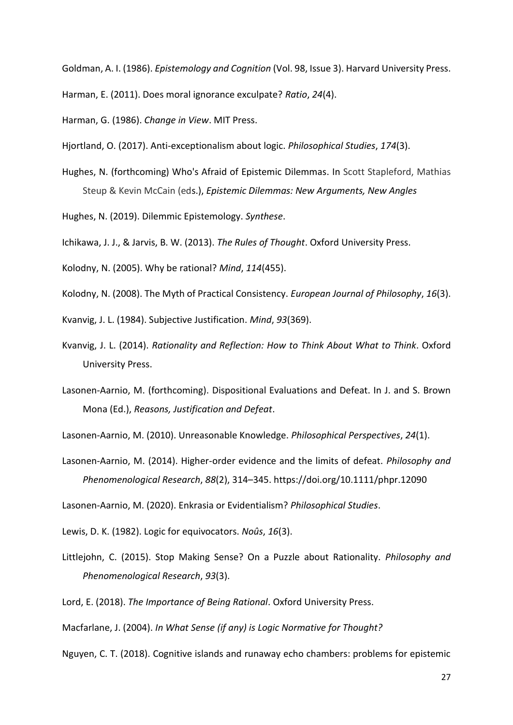Goldman, A. I. (1986). *Epistemology and Cognition* (Vol. 98, Issue 3). Harvard University Press.

Harman, E. (2011). Does moral ignorance exculpate? *Ratio*, *24*(4).

Harman, G. (1986). *Change in View*. MIT Press.

Hjortland, O. (2017). Anti-exceptionalism about logic. *Philosophical Studies*, *174*(3).

Hughes, N. (forthcoming) Who's Afraid of Epistemic Dilemmas. In Scott Stapleford, Mathias Steup & Kevin McCain (eds.), *[Epistemic Dilemmas: New Arguments, New Angles](https://philpapers.org/rec/STAEDN)*

Hughes, N. (2019). Dilemmic Epistemology. *Synthese*.

Ichikawa, J. J., & Jarvis, B. W. (2013). *The Rules of Thought*. Oxford University Press.

- Kolodny, N. (2005). Why be rational? *Mind*, *114*(455).
- Kolodny, N. (2008). The Myth of Practical Consistency. *European Journal of Philosophy*, *16*(3).

Kvanvig, J. L. (1984). Subjective Justification. *Mind*, *93*(369).

- Kvanvig, J. L. (2014). *Rationality and Reflection: How to Think About What to Think*. Oxford University Press.
- Lasonen-Aarnio, M. (forthcoming). Dispositional Evaluations and Defeat. In J. and S. Brown Mona (Ed.), *Reasons, Justification and Defeat*.
- Lasonen-Aarnio, M. (2010). Unreasonable Knowledge. *Philosophical Perspectives*, *24*(1).
- Lasonen-Aarnio, M. (2014). Higher-order evidence and the limits of defeat. *Philosophy and Phenomenological Research*, *88*(2), 314–345. https://doi.org/10.1111/phpr.12090

Lasonen-Aarnio, M. (2020). Enkrasia or Evidentialism? *Philosophical Studies*.

Lewis, D. K. (1982). Logic for equivocators. *Noûs*, *16*(3).

- Littlejohn, C. (2015). Stop Making Sense? On a Puzzle about Rationality. *Philosophy and Phenomenological Research*, *93*(3).
- Lord, E. (2018). *The Importance of Being Rational*. Oxford University Press.

Macfarlane, J. (2004). *In What Sense (if any) is Logic Normative for Thought?*

Nguyen, C. T. (2018). Cognitive islands and runaway echo chambers: problems for epistemic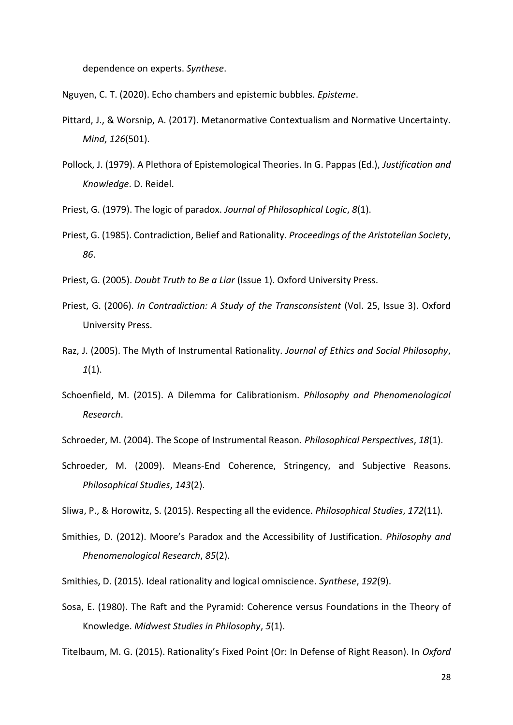dependence on experts. *Synthese*.

Nguyen, C. T. (2020). Echo chambers and epistemic bubbles. *Episteme*.

- Pittard, J., & Worsnip, A. (2017). Metanormative Contextualism and Normative Uncertainty. *Mind*, *126*(501).
- Pollock, J. (1979). A Plethora of Epistemological Theories. In G. Pappas (Ed.), *Justification and Knowledge*. D. Reidel.
- Priest, G. (1979). The logic of paradox. *Journal of Philosophical Logic*, *8*(1).
- Priest, G. (1985). Contradiction, Belief and Rationality. *Proceedings of the Aristotelian Society*, *86*.
- Priest, G. (2005). *Doubt Truth to Be a Liar* (Issue 1). Oxford University Press.
- Priest, G. (2006). *In Contradiction: A Study of the Transconsistent* (Vol. 25, Issue 3). Oxford University Press.
- Raz, J. (2005). The Myth of Instrumental Rationality. *Journal of Ethics and Social Philosophy*, *1*(1).
- Schoenfield, M. (2015). A Dilemma for Calibrationism. *Philosophy and Phenomenological Research*.
- Schroeder, M. (2004). The Scope of Instrumental Reason. *Philosophical Perspectives*, *18*(1).
- Schroeder, M. (2009). Means-End Coherence, Stringency, and Subjective Reasons. *Philosophical Studies*, *143*(2).
- Sliwa, P., & Horowitz, S. (2015). Respecting all the evidence. *Philosophical Studies*, *172*(11).
- Smithies, D. (2012). Moore's Paradox and the Accessibility of Justification. *Philosophy and Phenomenological Research*, *85*(2).
- Smithies, D. (2015). Ideal rationality and logical omniscience. *Synthese*, *192*(9).
- Sosa, E. (1980). The Raft and the Pyramid: Coherence versus Foundations in the Theory of Knowledge. *Midwest Studies in Philosophy*, *5*(1).

Titelbaum, M. G. (2015). Rationality's Fixed Point (Or: In Defense of Right Reason). In *Oxford*